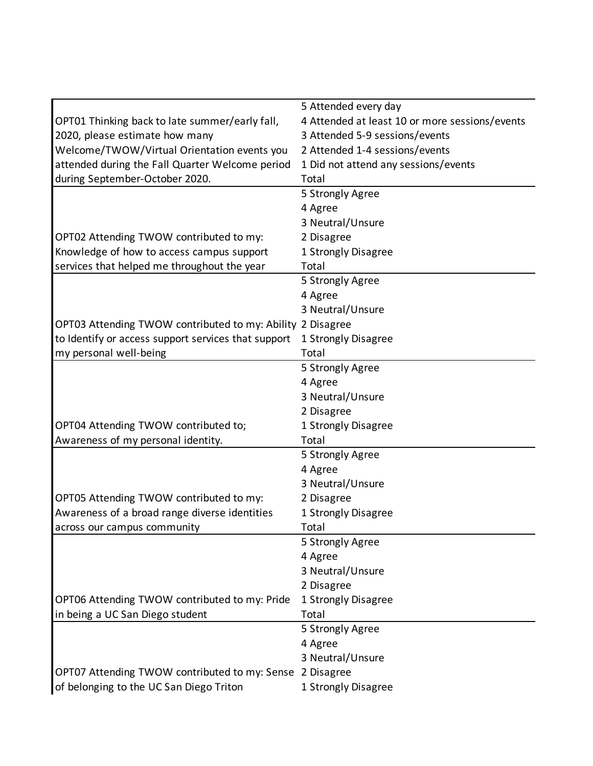|                                                            | 5 Attended every day                           |
|------------------------------------------------------------|------------------------------------------------|
| OPT01 Thinking back to late summer/early fall,             | 4 Attended at least 10 or more sessions/events |
| 2020, please estimate how many                             | 3 Attended 5-9 sessions/events                 |
| Welcome/TWOW/Virtual Orientation events you                | 2 Attended 1-4 sessions/events                 |
| attended during the Fall Quarter Welcome period            | 1 Did not attend any sessions/events           |
| during September-October 2020.                             | Total                                          |
|                                                            | 5 Strongly Agree                               |
|                                                            | 4 Agree                                        |
|                                                            | 3 Neutral/Unsure                               |
| OPT02 Attending TWOW contributed to my:                    | 2 Disagree                                     |
| Knowledge of how to access campus support                  | 1 Strongly Disagree                            |
| services that helped me throughout the year                | Total                                          |
|                                                            | 5 Strongly Agree                               |
|                                                            | 4 Agree                                        |
|                                                            | 3 Neutral/Unsure                               |
| OPT03 Attending TWOW contributed to my: Ability 2 Disagree |                                                |
| to Identify or access support services that support        | 1 Strongly Disagree                            |
| my personal well-being                                     | Total                                          |
|                                                            | 5 Strongly Agree                               |
|                                                            | 4 Agree                                        |
|                                                            | 3 Neutral/Unsure                               |
|                                                            | 2 Disagree                                     |
| OPT04 Attending TWOW contributed to;                       | 1 Strongly Disagree                            |
| Awareness of my personal identity.                         | Total                                          |
|                                                            | 5 Strongly Agree                               |
|                                                            | 4 Agree                                        |
|                                                            | 3 Neutral/Unsure                               |
| OPT05 Attending TWOW contributed to my:                    | 2 Disagree                                     |
| Awareness of a broad range diverse identities              | 1 Strongly Disagree                            |
| across our campus community                                | Total                                          |
|                                                            | 5 Strongly Agree                               |
|                                                            | 4 Agree                                        |
|                                                            | 3 Neutral/Unsure                               |
|                                                            | 2 Disagree                                     |
| OPT06 Attending TWOW contributed to my: Pride              | 1 Strongly Disagree                            |
| in being a UC San Diego student                            | Total                                          |
|                                                            | 5 Strongly Agree                               |
|                                                            | 4 Agree                                        |
|                                                            | 3 Neutral/Unsure                               |
| OPT07 Attending TWOW contributed to my: Sense 2 Disagree   |                                                |
| of belonging to the UC San Diego Triton                    | 1 Strongly Disagree                            |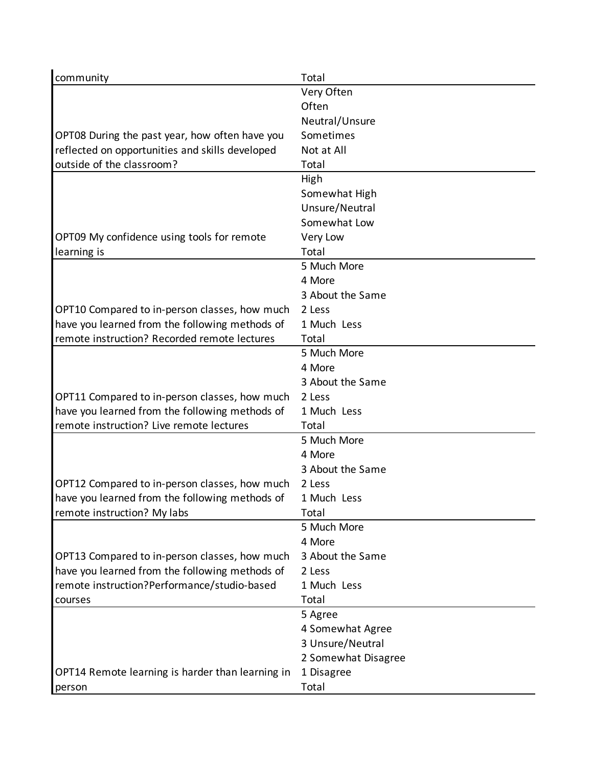| community                                        | Total               |
|--------------------------------------------------|---------------------|
|                                                  | Very Often          |
|                                                  | Often               |
|                                                  | Neutral/Unsure      |
| OPT08 During the past year, how often have you   | Sometimes           |
| reflected on opportunities and skills developed  | Not at All          |
| outside of the classroom?                        | Total               |
|                                                  | High                |
|                                                  | Somewhat High       |
|                                                  | Unsure/Neutral      |
|                                                  | Somewhat Low        |
| OPT09 My confidence using tools for remote       | Very Low            |
| learning is                                      | Total               |
|                                                  | 5 Much More         |
|                                                  | 4 More              |
|                                                  | 3 About the Same    |
| OPT10 Compared to in-person classes, how much    | 2 Less              |
| have you learned from the following methods of   | 1 Much Less         |
| remote instruction? Recorded remote lectures     | Total               |
|                                                  | 5 Much More         |
|                                                  | 4 More              |
|                                                  | 3 About the Same    |
| OPT11 Compared to in-person classes, how much    | 2 Less              |
| have you learned from the following methods of   | 1 Much Less         |
| remote instruction? Live remote lectures         | Total               |
|                                                  | 5 Much More         |
|                                                  | 4 More              |
|                                                  | 3 About the Same    |
| OPT12 Compared to in-person classes, how much    | 2 Less              |
| have you learned from the following methods of   | 1 Much Less         |
| remote instruction? My labs                      | Total               |
|                                                  | 5 Much More         |
|                                                  | 4 More              |
| OPT13 Compared to in-person classes, how much    | 3 About the Same    |
| have you learned from the following methods of   | 2 Less              |
| remote instruction?Performance/studio-based      | 1 Much Less         |
| courses                                          | Total               |
|                                                  | 5 Agree             |
|                                                  | 4 Somewhat Agree    |
|                                                  | 3 Unsure/Neutral    |
|                                                  | 2 Somewhat Disagree |
| OPT14 Remote learning is harder than learning in | 1 Disagree          |
| person                                           | Total               |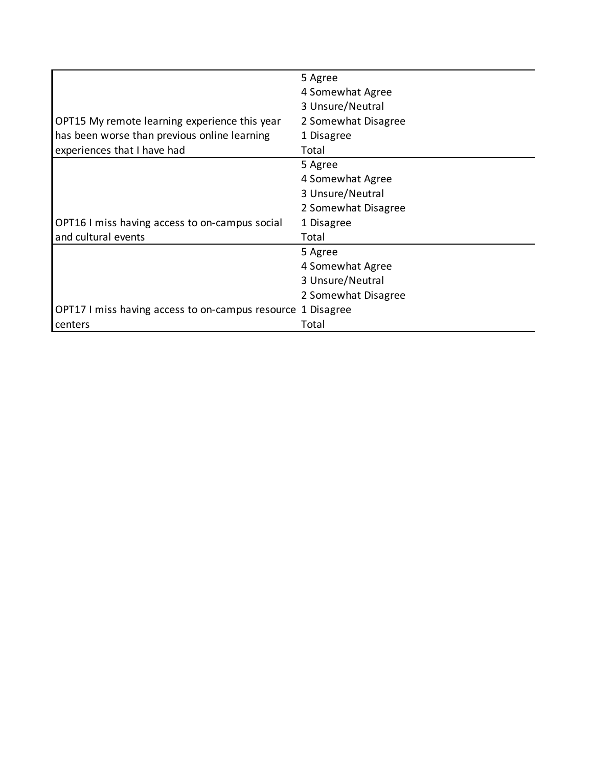|                                                             | 5 Agree             |
|-------------------------------------------------------------|---------------------|
|                                                             | 4 Somewhat Agree    |
|                                                             | 3 Unsure/Neutral    |
| OPT15 My remote learning experience this year               | 2 Somewhat Disagree |
| has been worse than previous online learning                | 1 Disagree          |
| experiences that I have had                                 | Total               |
|                                                             | 5 Agree             |
|                                                             | 4 Somewhat Agree    |
|                                                             | 3 Unsure/Neutral    |
|                                                             | 2 Somewhat Disagree |
| OPT16 I miss having access to on-campus social              | 1 Disagree          |
| and cultural events                                         | Total               |
|                                                             | 5 Agree             |
|                                                             | 4 Somewhat Agree    |
|                                                             | 3 Unsure/Neutral    |
|                                                             | 2 Somewhat Disagree |
| OPT17 I miss having access to on-campus resource 1 Disagree |                     |
| centers                                                     | Total               |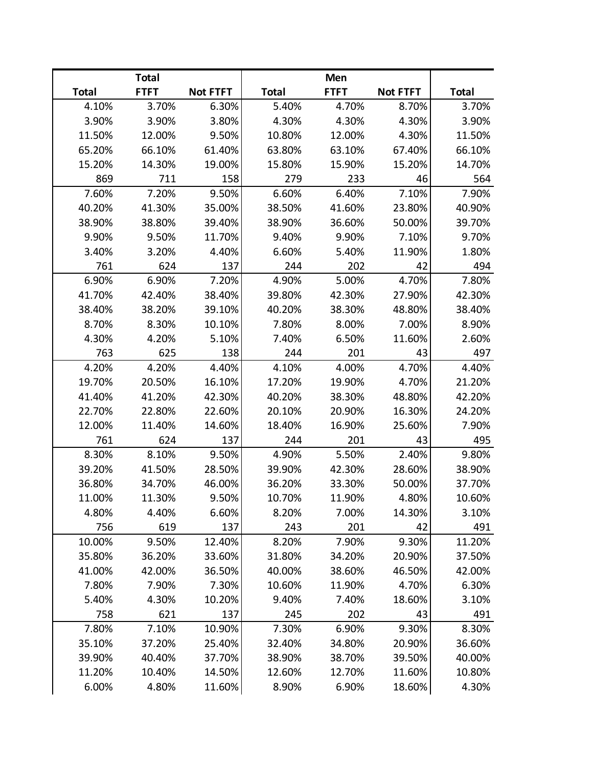|              | <b>Total</b> |                 | Men          |             |                 |              |
|--------------|--------------|-----------------|--------------|-------------|-----------------|--------------|
| <b>Total</b> | <b>FTFT</b>  | <b>Not FTFT</b> | <b>Total</b> | <b>FTFT</b> | <b>Not FTFT</b> | <b>Total</b> |
| 4.10%        | 3.70%        | 6.30%           | 5.40%        | 4.70%       | 8.70%           | 3.70%        |
| 3.90%        | 3.90%        | 3.80%           | 4.30%        | 4.30%       | 4.30%           | 3.90%        |
| 11.50%       | 12.00%       | 9.50%           | 10.80%       | 12.00%      | 4.30%           | 11.50%       |
| 65.20%       | 66.10%       | 61.40%          | 63.80%       | 63.10%      | 67.40%          | 66.10%       |
| 15.20%       | 14.30%       | 19.00%          | 15.80%       | 15.90%      | 15.20%          | 14.70%       |
| 869          | 711          | 158             | 279          | 233         | 46              | 564          |
| 7.60%        | 7.20%        | 9.50%           | 6.60%        | 6.40%       | 7.10%           | 7.90%        |
| 40.20%       | 41.30%       | 35.00%          | 38.50%       | 41.60%      | 23.80%          | 40.90%       |
| 38.90%       | 38.80%       | 39.40%          | 38.90%       | 36.60%      | 50.00%          | 39.70%       |
| 9.90%        | 9.50%        | 11.70%          | 9.40%        | 9.90%       | 7.10%           | 9.70%        |
| 3.40%        | 3.20%        | 4.40%           | 6.60%        | 5.40%       | 11.90%          | 1.80%        |
| 761          | 624          | 137             | 244          | 202         | 42              | 494          |
| 6.90%        | 6.90%        | 7.20%           | 4.90%        | 5.00%       | 4.70%           | 7.80%        |
| 41.70%       | 42.40%       | 38.40%          | 39.80%       | 42.30%      | 27.90%          | 42.30%       |
| 38.40%       | 38.20%       | 39.10%          | 40.20%       | 38.30%      | 48.80%          | 38.40%       |
| 8.70%        | 8.30%        | 10.10%          | 7.80%        | 8.00%       | 7.00%           | 8.90%        |
| 4.30%        | 4.20%        | 5.10%           | 7.40%        | 6.50%       | 11.60%          | 2.60%        |
| 763          | 625          | 138             | 244          | 201         | 43              | 497          |
| 4.20%        | 4.20%        | 4.40%           | 4.10%        | 4.00%       | 4.70%           | 4.40%        |
| 19.70%       | 20.50%       | 16.10%          | 17.20%       | 19.90%      | 4.70%           | 21.20%       |
| 41.40%       | 41.20%       | 42.30%          | 40.20%       | 38.30%      | 48.80%          | 42.20%       |
| 22.70%       | 22.80%       | 22.60%          | 20.10%       | 20.90%      | 16.30%          | 24.20%       |
| 12.00%       | 11.40%       | 14.60%          | 18.40%       | 16.90%      | 25.60%          | 7.90%        |
| 761          | 624          | 137             | 244          | 201         | 43              | 495          |
| 8.30%        | 8.10%        | 9.50%           | 4.90%        | 5.50%       | 2.40%           | 9.80%        |
| 39.20%       | 41.50%       | 28.50%          | 39.90%       | 42.30%      | 28.60%          | 38.90%       |
| 36.80%       | 34.70%       | 46.00%          | 36.20%       | 33.30%      | 50.00%          | 37.70%       |
| 11.00%       | 11.30%       | 9.50%           | 10.70%       | 11.90%      | 4.80%           | 10.60%       |
| 4.80%        | 4.40%        | 6.60%           | 8.20%        | 7.00%       | 14.30%          | 3.10%        |
| 756          | 619          | 137             | 243          | 201         | 42              | 491          |
| 10.00%       | 9.50%        | 12.40%          | 8.20%        | 7.90%       | 9.30%           | 11.20%       |
| 35.80%       | 36.20%       | 33.60%          | 31.80%       | 34.20%      | 20.90%          | 37.50%       |
| 41.00%       | 42.00%       | 36.50%          | 40.00%       | 38.60%      | 46.50%          | 42.00%       |
| 7.80%        | 7.90%        | 7.30%           | 10.60%       | 11.90%      | 4.70%           | 6.30%        |
| 5.40%        | 4.30%        | 10.20%          | 9.40%        | 7.40%       | 18.60%          | 3.10%        |
| 758          | 621          | 137             | 245          | 202         | 43              | 491          |
| 7.80%        | 7.10%        | 10.90%          | 7.30%        | 6.90%       | 9.30%           | 8.30%        |
| 35.10%       | 37.20%       | 25.40%          | 32.40%       | 34.80%      | 20.90%          | 36.60%       |
| 39.90%       | 40.40%       | 37.70%          | 38.90%       | 38.70%      | 39.50%          | 40.00%       |
| 11.20%       | 10.40%       | 14.50%          | 12.60%       | 12.70%      | 11.60%          | 10.80%       |
| 6.00%        | 4.80%        | 11.60%          | 8.90%        | 6.90%       | 18.60%          | 4.30%        |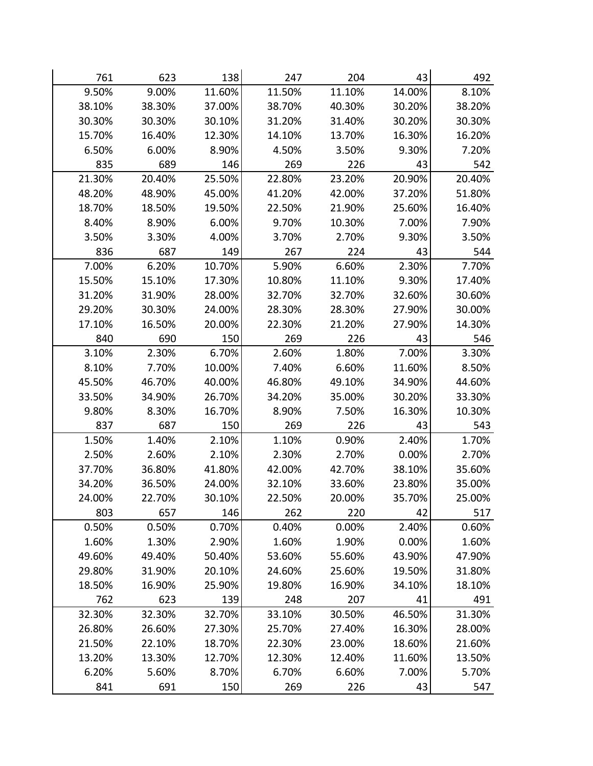| 761    | 623    | 138    | 247    | 204    | 43     | 492    |
|--------|--------|--------|--------|--------|--------|--------|
| 9.50%  | 9.00%  | 11.60% | 11.50% | 11.10% | 14.00% | 8.10%  |
| 38.10% | 38.30% | 37.00% | 38.70% | 40.30% | 30.20% | 38.20% |
| 30.30% | 30.30% | 30.10% | 31.20% | 31.40% | 30.20% | 30.30% |
| 15.70% | 16.40% | 12.30% | 14.10% | 13.70% | 16.30% | 16.20% |
| 6.50%  | 6.00%  | 8.90%  | 4.50%  | 3.50%  | 9.30%  | 7.20%  |
| 835    | 689    | 146    | 269    | 226    | 43     | 542    |
| 21.30% | 20.40% | 25.50% | 22.80% | 23.20% | 20.90% | 20.40% |
| 48.20% | 48.90% | 45.00% | 41.20% | 42.00% | 37.20% | 51.80% |
| 18.70% | 18.50% | 19.50% | 22.50% | 21.90% | 25.60% | 16.40% |
| 8.40%  | 8.90%  | 6.00%  | 9.70%  | 10.30% | 7.00%  | 7.90%  |
| 3.50%  | 3.30%  | 4.00%  | 3.70%  | 2.70%  | 9.30%  | 3.50%  |
| 836    | 687    | 149    | 267    | 224    | 43     | 544    |
| 7.00%  | 6.20%  | 10.70% | 5.90%  | 6.60%  | 2.30%  | 7.70%  |
| 15.50% | 15.10% | 17.30% | 10.80% | 11.10% | 9.30%  | 17.40% |
| 31.20% | 31.90% | 28.00% | 32.70% | 32.70% | 32.60% | 30.60% |
| 29.20% | 30.30% | 24.00% | 28.30% | 28.30% | 27.90% | 30.00% |
| 17.10% | 16.50% | 20.00% | 22.30% | 21.20% | 27.90% | 14.30% |
| 840    | 690    | 150    | 269    | 226    | 43     | 546    |
| 3.10%  | 2.30%  | 6.70%  | 2.60%  | 1.80%  | 7.00%  | 3.30%  |
| 8.10%  | 7.70%  | 10.00% | 7.40%  | 6.60%  | 11.60% | 8.50%  |
| 45.50% | 46.70% | 40.00% | 46.80% | 49.10% | 34.90% | 44.60% |
| 33.50% | 34.90% | 26.70% | 34.20% | 35.00% | 30.20% | 33.30% |
| 9.80%  | 8.30%  | 16.70% | 8.90%  | 7.50%  | 16.30% | 10.30% |
| 837    | 687    | 150    | 269    | 226    | 43     | 543    |
| 1.50%  | 1.40%  | 2.10%  | 1.10%  | 0.90%  | 2.40%  | 1.70%  |
| 2.50%  | 2.60%  | 2.10%  | 2.30%  | 2.70%  | 0.00%  | 2.70%  |
| 37.70% | 36.80% | 41.80% | 42.00% | 42.70% | 38.10% | 35.60% |
| 34.20% | 36.50% | 24.00% | 32.10% | 33.60% | 23.80% | 35.00% |
| 24.00% | 22.70% | 30.10% | 22.50% | 20.00% | 35.70% | 25.00% |
| 803    | 657    | 146    | 262    | 220    | 42     | 517    |
| 0.50%  | 0.50%  | 0.70%  | 0.40%  | 0.00%  | 2.40%  | 0.60%  |
| 1.60%  | 1.30%  | 2.90%  | 1.60%  | 1.90%  | 0.00%  | 1.60%  |
| 49.60% | 49.40% | 50.40% | 53.60% | 55.60% | 43.90% | 47.90% |
| 29.80% | 31.90% | 20.10% | 24.60% | 25.60% | 19.50% | 31.80% |
| 18.50% | 16.90% | 25.90% | 19.80% | 16.90% | 34.10% | 18.10% |
| 762    | 623    | 139    | 248    | 207    | 41     | 491    |
| 32.30% | 32.30% | 32.70% | 33.10% | 30.50% | 46.50% | 31.30% |
| 26.80% | 26.60% | 27.30% | 25.70% | 27.40% | 16.30% | 28.00% |
| 21.50% | 22.10% | 18.70% | 22.30% | 23.00% | 18.60% | 21.60% |
| 13.20% | 13.30% | 12.70% | 12.30% | 12.40% | 11.60% | 13.50% |
| 6.20%  | 5.60%  | 8.70%  | 6.70%  | 6.60%  | 7.00%  | 5.70%  |
| 841    | 691    | 150    | 269    | 226    | 43     | 547    |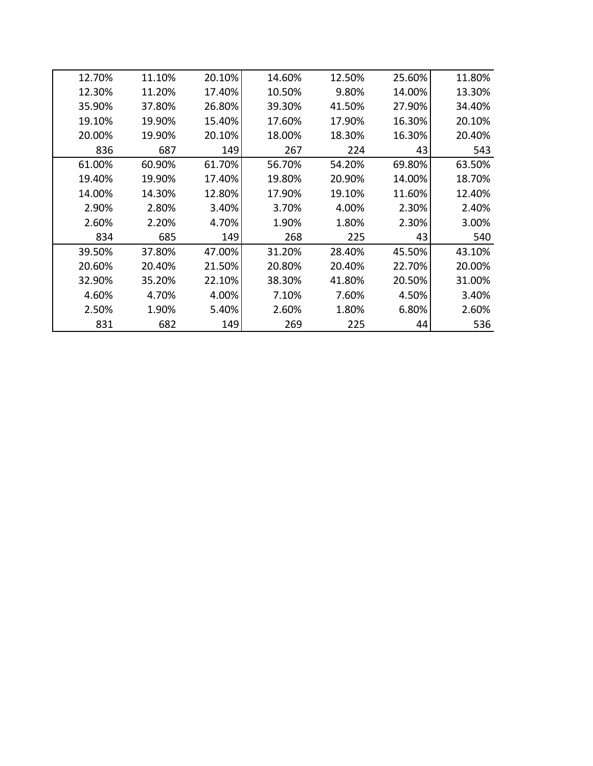| 12.70% | 11.10% | 20.10% | 14.60% | 12.50% | 25.60% | 11.80% |
|--------|--------|--------|--------|--------|--------|--------|
| 12.30% | 11.20% | 17.40% | 10.50% | 9.80%  | 14.00% | 13.30% |
| 35.90% | 37.80% | 26.80% | 39.30% | 41.50% | 27.90% | 34.40% |
| 19.10% | 19.90% | 15.40% | 17.60% | 17.90% | 16.30% | 20.10% |
| 20.00% | 19.90% | 20.10% | 18.00% | 18.30% | 16.30% | 20.40% |
| 836    | 687    | 149    | 267    | 224    | 43     | 543    |
| 61.00% | 60.90% | 61.70% | 56.70% | 54.20% | 69.80% | 63.50% |
| 19.40% | 19.90% | 17.40% | 19.80% | 20.90% | 14.00% | 18.70% |
| 14.00% | 14.30% | 12.80% | 17.90% | 19.10% | 11.60% | 12.40% |
| 2.90%  | 2.80%  | 3.40%  | 3.70%  | 4.00%  | 2.30%  | 2.40%  |
| 2.60%  | 2.20%  | 4.70%  | 1.90%  | 1.80%  | 2.30%  | 3.00%  |
| 834    | 685    | 149    | 268    | 225    | 43     | 540    |
| 39.50% | 37.80% | 47.00% | 31.20% | 28.40% | 45.50% | 43.10% |
| 20.60% | 20.40% | 21.50% | 20.80% | 20.40% | 22.70% | 20.00% |
| 32.90% | 35.20% | 22.10% | 38.30% | 41.80% | 20.50% | 31.00% |
| 4.60%  | 4.70%  | 4.00%  | 7.10%  | 7.60%  | 4.50%  | 3.40%  |
| 2.50%  | 1.90%  | 5.40%  | 2.60%  | 1.80%  | 6.80%  | 2.60%  |
| 831    | 682    | 149    | 269    | 225    | 44     | 536    |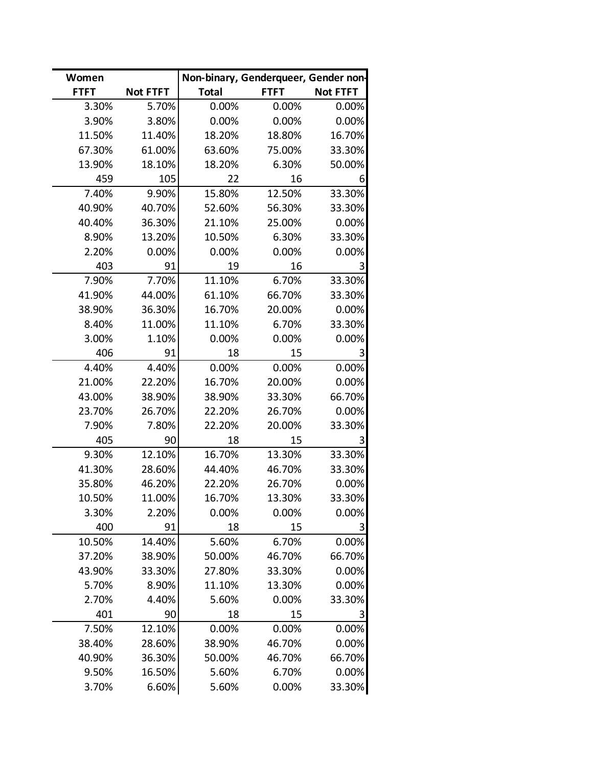| Women       |                 |              | Non-binary, Genderqueer, Gender non- |                 |
|-------------|-----------------|--------------|--------------------------------------|-----------------|
| <b>FTFT</b> | <b>Not FTFT</b> | <b>Total</b> | <b>FTFT</b>                          | <b>Not FTFT</b> |
| 3.30%       | 5.70%           | 0.00%        | 0.00%                                | 0.00%           |
| 3.90%       | 3.80%           | 0.00%        | 0.00%                                | 0.00%           |
| 11.50%      | 11.40%          | 18.20%       | 18.80%                               | 16.70%          |
| 67.30%      | 61.00%          | 63.60%       | 75.00%                               | 33.30%          |
| 13.90%      | 18.10%          | 18.20%       | 6.30%                                | 50.00%          |
| 459         | 105             | 22           | 16                                   | 6               |
| 7.40%       | 9.90%           | 15.80%       | 12.50%                               | 33.30%          |
| 40.90%      | 40.70%          | 52.60%       | 56.30%                               | 33.30%          |
| 40.40%      | 36.30%          | 21.10%       | 25.00%                               | 0.00%           |
| 8.90%       | 13.20%          | 10.50%       | 6.30%                                | 33.30%          |
| 2.20%       | 0.00%           | 0.00%        | 0.00%                                | 0.00%           |
| 403         | 91              | 19           | 16                                   | 3               |
| 7.90%       | 7.70%           | 11.10%       | 6.70%                                | 33.30%          |
| 41.90%      | 44.00%          | 61.10%       | 66.70%                               | 33.30%          |
| 38.90%      | 36.30%          | 16.70%       | 20.00%                               | 0.00%           |
| 8.40%       | 11.00%          | 11.10%       | 6.70%                                | 33.30%          |
| 3.00%       | 1.10%           | 0.00%        | 0.00%                                | 0.00%           |
| 406         | 91              | 18           | 15                                   | 3               |
| 4.40%       | 4.40%           | 0.00%        | 0.00%                                | 0.00%           |
| 21.00%      | 22.20%          | 16.70%       | 20.00%                               | 0.00%           |
| 43.00%      | 38.90%          | 38.90%       | 33.30%                               | 66.70%          |
| 23.70%      | 26.70%          | 22.20%       | 26.70%                               | 0.00%           |
| 7.90%       | 7.80%           | 22.20%       | 20.00%                               | 33.30%          |
| 405         | 90              | 18           | 15                                   | 3               |
| 9.30%       | 12.10%          | 16.70%       | 13.30%                               | 33.30%          |
| 41.30%      | 28.60%          | 44.40%       | 46.70%                               | 33.30%          |
| 35.80%      | 46.20%          | 22.20%       | 26.70%                               | 0.00%           |
| 10.50%      | 11.00%          | 16.70%       | 13.30%                               | 33.30%          |
| 3.30%       | 2.20%           | 0.00%        | 0.00%                                | 0.00%           |
| 400         | 91              | 18           | 15                                   | 3               |
| 10.50%      | 14.40%          | 5.60%        | 6.70%                                | 0.00%           |
| 37.20%      | 38.90%          | 50.00%       | 46.70%                               | 66.70%          |
| 43.90%      | 33.30%          | 27.80%       | 33.30%                               | 0.00%           |
| 5.70%       | 8.90%           | 11.10%       | 13.30%                               | 0.00%           |
| 2.70%       | 4.40%           | 5.60%        | 0.00%                                | 33.30%          |
| 401         | 90              | 18           | 15                                   | 3               |
| 7.50%       | 12.10%          | 0.00%        | 0.00%                                | 0.00%           |
| 38.40%      | 28.60%          | 38.90%       | 46.70%                               | 0.00%           |
| 40.90%      | 36.30%          | 50.00%       | 46.70%                               | 66.70%          |
| 9.50%       | 16.50%          | 5.60%        | 6.70%                                | 0.00%           |
| 3.70%       | 6.60%           | 5.60%        | 0.00%                                | 33.30%          |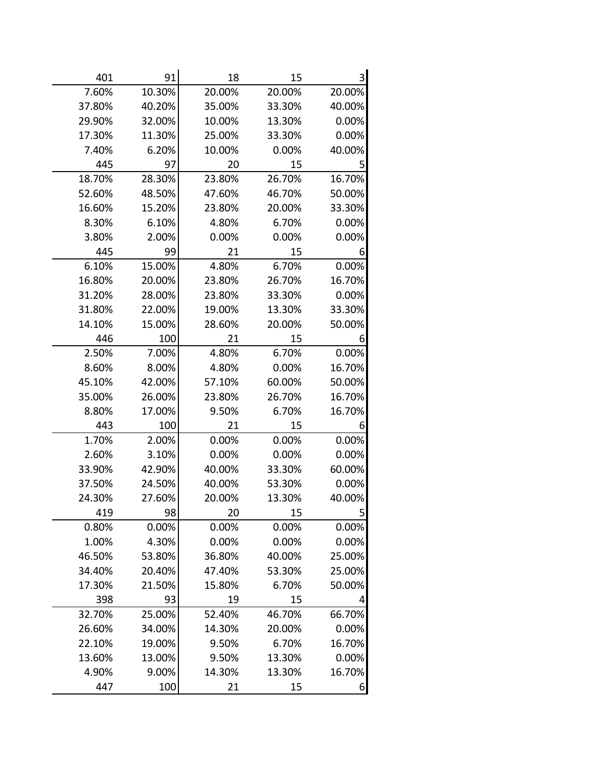| 401    | 91     | 18     | 15     | 3      |
|--------|--------|--------|--------|--------|
| 7.60%  | 10.30% | 20.00% | 20.00% | 20.00% |
| 37.80% | 40.20% | 35.00% | 33.30% | 40.00% |
| 29.90% | 32.00% | 10.00% | 13.30% | 0.00%  |
| 17.30% | 11.30% | 25.00% | 33.30% | 0.00%  |
| 7.40%  | 6.20%  | 10.00% | 0.00%  | 40.00% |
| 445    | 97     | 20     | 15     | 5      |
| 18.70% | 28.30% | 23.80% | 26.70% | 16.70% |
| 52.60% | 48.50% | 47.60% | 46.70% | 50.00% |
| 16.60% | 15.20% | 23.80% | 20.00% | 33.30% |
| 8.30%  | 6.10%  | 4.80%  | 6.70%  | 0.00%  |
| 3.80%  | 2.00%  | 0.00%  | 0.00%  | 0.00%  |
| 445    | 99     | 21     | 15     | 6      |
| 6.10%  | 15.00% | 4.80%  | 6.70%  | 0.00%  |
| 16.80% | 20.00% | 23.80% | 26.70% | 16.70% |
| 31.20% | 28.00% | 23.80% | 33.30% | 0.00%  |
| 31.80% | 22.00% | 19.00% | 13.30% | 33.30% |
| 14.10% | 15.00% | 28.60% | 20.00% | 50.00% |
| 446    | 100    | 21     | 15     | 6      |
| 2.50%  | 7.00%  | 4.80%  | 6.70%  | 0.00%  |
| 8.60%  | 8.00%  | 4.80%  | 0.00%  | 16.70% |
| 45.10% | 42.00% | 57.10% | 60.00% | 50.00% |
| 35.00% | 26.00% | 23.80% | 26.70% | 16.70% |
| 8.80%  | 17.00% | 9.50%  | 6.70%  | 16.70% |
| 443    | 100    | 21     | 15     | 6      |
| 1.70%  | 2.00%  | 0.00%  | 0.00%  | 0.00%  |
| 2.60%  | 3.10%  | 0.00%  | 0.00%  | 0.00%  |
| 33.90% | 42.90% | 40.00% | 33.30% | 60.00% |
| 37.50% | 24.50% | 40.00% | 53.30% | 0.00%  |
| 24.30% | 27.60% | 20.00% | 13.30% | 40.00% |
| 419    | 98     | 20     | 15     | 5      |
| 0.80%  | 0.00%  | 0.00%  | 0.00%  | 0.00%  |
| 1.00%  | 4.30%  | 0.00%  | 0.00%  | 0.00%  |
| 46.50% | 53.80% | 36.80% | 40.00% | 25.00% |
| 34.40% | 20.40% | 47.40% | 53.30% | 25.00% |
| 17.30% | 21.50% | 15.80% | 6.70%  | 50.00% |
| 398    | 93     | 19     | 15     | 4      |
| 32.70% | 25.00% | 52.40% | 46.70% | 66.70% |
| 26.60% | 34.00% | 14.30% | 20.00% | 0.00%  |
| 22.10% | 19.00% | 9.50%  | 6.70%  | 16.70% |
| 13.60% | 13.00% | 9.50%  | 13.30% | 0.00%  |
| 4.90%  | 9.00%  | 14.30% | 13.30% | 16.70% |
| 447    | 100    | 21     | 15     | 6      |